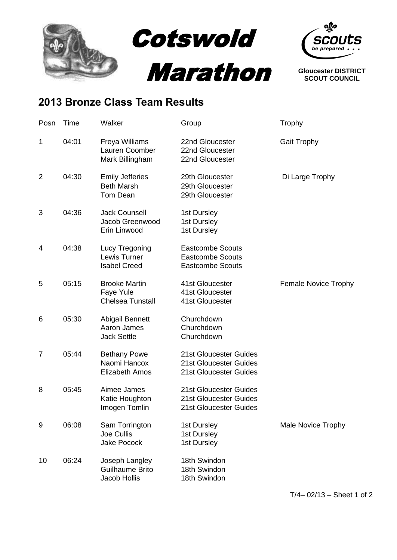



**Gloucester DISTRICT SCOUT COUNCIL**

## **2013 Bronze Class Team Results**

| Posn           | Time  | Walker                                                         | Group                                                                         | Trophy                      |
|----------------|-------|----------------------------------------------------------------|-------------------------------------------------------------------------------|-----------------------------|
| 1              | 04:01 | Freya Williams<br>Lauren Coomber<br>Mark Billingham            | 22nd Gloucester<br>22nd Gloucester<br>22nd Gloucester                         | <b>Gait Trophy</b>          |
| $\overline{2}$ | 04:30 | <b>Emily Jefferies</b><br><b>Beth Marsh</b><br><b>Tom Dean</b> | 29th Gloucester<br>29th Gloucester<br>29th Gloucester                         | Di Large Trophy             |
| 3              | 04:36 | <b>Jack Counsell</b><br>Jacob Greenwood<br>Erin Linwood        | 1st Dursley<br>1st Dursley<br>1st Dursley                                     |                             |
| 4              | 04:38 | Lucy Tregoning<br>Lewis Turner<br><b>Isabel Creed</b>          | <b>Eastcombe Scouts</b><br><b>Eastcombe Scouts</b><br><b>Eastcombe Scouts</b> |                             |
| 5              | 05:15 | <b>Brooke Martin</b><br>Faye Yule<br><b>Chelsea Tunstall</b>   | 41st Gloucester<br>41st Gloucester<br>41st Gloucester                         | <b>Female Novice Trophy</b> |
| 6              | 05:30 | <b>Abigail Bennett</b><br>Aaron James<br><b>Jack Settle</b>    | Churchdown<br>Churchdown<br>Churchdown                                        |                             |
| $\overline{7}$ | 05:44 | <b>Bethany Powe</b><br>Naomi Hancox<br><b>Elizabeth Amos</b>   | 21st Gloucester Guides<br>21st Gloucester Guides<br>21st Gloucester Guides    |                             |
| 8              | 05:45 | Aimee James<br>Katie Houghton<br>Imogen Tomlin                 | 21st Gloucester Guides<br>21st Gloucester Guides<br>21st Gloucester Guides    |                             |
| 9              | 06:08 | Sam Torrington<br><b>Joe Cullis</b><br><b>Jake Pocock</b>      | 1st Dursley<br>1st Dursley<br>1st Dursley                                     | <b>Male Novice Trophy</b>   |
| 10             | 06:24 | Joseph Langley<br>Guilhaume Brito<br>Jacob Hollis              | 18th Swindon<br>18th Swindon<br>18th Swindon                                  |                             |

T/4– 02/13 – Sheet 1 of 2